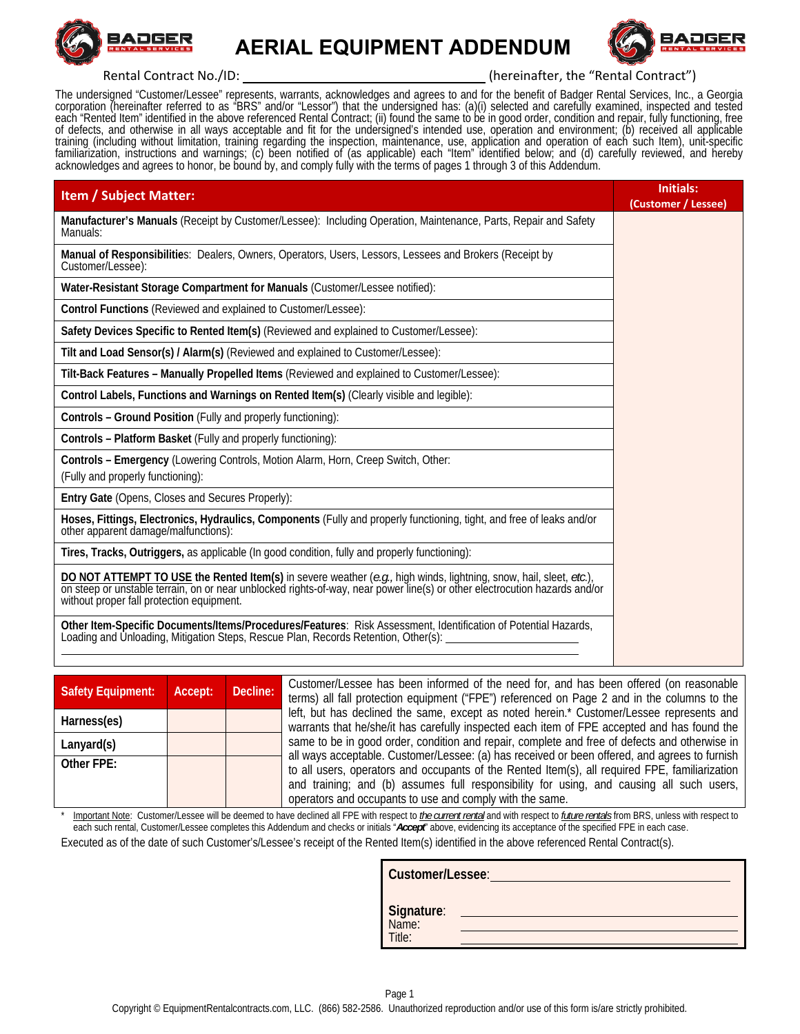

 **AERIAL EQUIPMENT ADDENDUM**



Rental Contract No./ID: The Matter of the Contract (hereinafter, the "Rental Contract")

The undersigned "Customer/Lessee" represents, warrants, acknowledges and agrees to and for the benefit of Badger Rental Services, Inc., a Georgia corporation (hereinafter referred to as "BRS" and/or "Lessor") that the unde

| <b>Item / Subject Matter:</b>                                                                                                                                                                                                                                               | Initials:<br>(Customer / Lessee) |
|-----------------------------------------------------------------------------------------------------------------------------------------------------------------------------------------------------------------------------------------------------------------------------|----------------------------------|
| Manufacturer's Manuals (Receipt by Customer/Lessee): Including Operation, Maintenance, Parts, Repair and Safety<br>Manuals:                                                                                                                                                 |                                  |
| Manual of Responsibilities: Dealers, Owners, Operators, Users, Lessors, Lessees and Brokers (Receipt by<br>Customer/Lessee):                                                                                                                                                |                                  |
| Water-Resistant Storage Compartment for Manuals (Customer/Lessee notified):                                                                                                                                                                                                 |                                  |
| Control Functions (Reviewed and explained to Customer/Lessee):                                                                                                                                                                                                              |                                  |
| Safety Devices Specific to Rented Item(s) (Reviewed and explained to Customer/Lessee):                                                                                                                                                                                      |                                  |
| Tilt and Load Sensor(s) / Alarm(s) (Reviewed and explained to Customer/Lessee):                                                                                                                                                                                             |                                  |
| Tilt-Back Features - Manually Propelled Items (Reviewed and explained to Customer/Lessee):                                                                                                                                                                                  |                                  |
| Control Labels, Functions and Warnings on Rented Item(s) (Clearly visible and legible):                                                                                                                                                                                     |                                  |
| Controls - Ground Position (Fully and properly functioning):                                                                                                                                                                                                                |                                  |
| Controls - Platform Basket (Fully and properly functioning):                                                                                                                                                                                                                |                                  |
| Controls - Emergency (Lowering Controls, Motion Alarm, Horn, Creep Switch, Other:<br>(Fully and properly functioning):                                                                                                                                                      |                                  |
| Entry Gate (Opens, Closes and Secures Properly):                                                                                                                                                                                                                            |                                  |
| Hoses, Fittings, Electronics, Hydraulics, Components (Fully and properly functioning, tight, and free of leaks and/or<br>other apparent damage/malfunctions):                                                                                                               |                                  |
| Tires, Tracks, Outriggers, as applicable (In good condition, fully and properly functioning):                                                                                                                                                                               |                                  |
| DO NOT ATTEMPT TO USE the Rented Item(s) in severe weather (e.g., high winds, lightning, snow, hail, sleet, etc.), on steep or unstable terrain, on or near unblocked rights-of-way, near power line(s) or other electrocution<br>without proper fall protection equipment. |                                  |
| Other Item-Specific Documents/Items/Procedures/Features: Risk Assessment, Identification of Potential Hazards,<br>Loading and Unloading, Mitigation Steps, Rescue Plan, Records Retention, Other(s):                                                                        |                                  |

| <b>Safety Equipment:</b> | Accept: | Decline: |
|--------------------------|---------|----------|
| Harness(es)              |         |          |
| Lanyard(s)               |         |          |
| Other FPF:               |         |          |

**Safety Equipment: Accept: Decline:** Customer/Lessee has been informed of the need for, and has been offered (on reasonable terms) all fall protection equipment ("FPE") referenced on Page 2 and in the columns to the left, but has declined the same, except as noted herein.\* Customer/Lessee represents and warrants that he/she/it has carefully inspected each item of FPE accepted and has found the same to be in good order, condition and repair, complete and free of defects and otherwise in all ways acceptable. Customer/Lessee: (a) has received or been offered, and agrees to furnish to all users, operators and occupants of the Rented Item(s), all required FPE, familiarization and training; and (b) assumes full responsibility for using, and causing all such users, operators and occupants to use and comply with the same.

Important Note: Customer/Lessee will be deemed to have declined all FPE with respect to *the current rental* and with respect to *future rentals* from BRS, unless with respect to each such rental, Customer/Lessee completes this Addendum and checks or initials "*Accept*" above, evidencing its acceptance of the specified FPE in each case. Executed as of the date of such Customer's/Lessee's receipt of the Rented Item(s) identified in the above referenced Rental Contract(s).

| Customer/Lessee:              |
|-------------------------------|
| Signature:<br>Name:<br>Title: |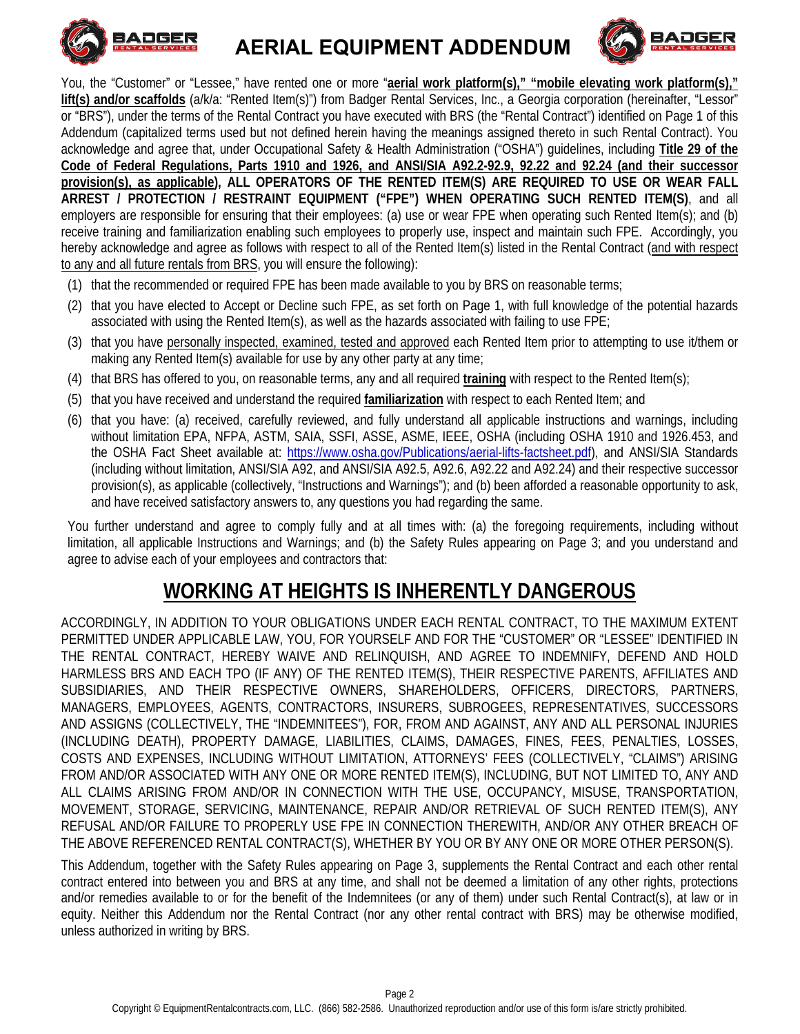

 **AERIAL EQUIPMENT ADDENDUM**



You, the "Customer" or "Lessee," have rented one or more "aerial work platform(s)," "mobile elevating work platform(s)," **lift(s) and/or scaffolds** (a/k/a: "Rented Item(s)") from Badger Rental Services, Inc., a Georgia corporation (hereinafter, "Lessor" or "BRS"), under the terms of the Rental Contract you have executed with BRS (the "Rental Contract") identified on Page 1 of this Addendum (capitalized terms used but not defined herein having the meanings assigned thereto in such Rental Contract). You acknowledge and agree that, under Occupational Safety & Health Administration ("OSHA") guidelines, including **Title 29 of the Code of Federal Regulations, Parts 1910 and 1926, and ANSI/SIA A92.2-92.9, 92.22 and 92.24 (and their successor provision(s), as applicable), ALL OPERATORS OF THE RENTED ITEM(S) ARE REQUIRED TO USE OR WEAR FALL ARREST / PROTECTION / RESTRAINT EQUIPMENT ("FPE") WHEN OPERATING SUCH RENTED ITEM(S)**, and all employers are responsible for ensuring that their employees: (a) use or wear FPE when operating such Rented Item(s); and (b) receive training and familiarization enabling such employees to properly use, inspect and maintain such FPE. Accordingly, you hereby acknowledge and agree as follows with respect to all of the Rented Item(s) listed in the Rental Contract (and with respect to any and all future rentals from BRS, you will ensure the following):

- (1) that the recommended or required FPE has been made available to you by BRS on reasonable terms;
- (2) that you have elected to Accept or Decline such FPE, as set forth on Page 1, with full knowledge of the potential hazards associated with using the Rented Item(s), as well as the hazards associated with failing to use FPE;
- (3) that you have personally inspected, examined, tested and approved each Rented Item prior to attempting to use it/them or making any Rented Item(s) available for use by any other party at any time;
- (4) that BRS has offered to you, on reasonable terms, any and all required **training** with respect to the Rented Item(s);
- (5) that you have received and understand the required **familiarization** with respect to each Rented Item; and
- (6) that you have: (a) received, carefully reviewed, and fully understand all applicable instructions and warnings, including without limitation EPA, NFPA, ASTM, SAIA, SSFI, ASSE, ASME, IEEE, OSHA (including OSHA 1910 and 1926.453, and the OSHA Fact Sheet available at: https://www.osha.gov/Publications/aerial-lifts-factsheet.pdf), and ANSI/SIA Standards (including without limitation, ANSI/SIA A92, and ANSI/SIA A92.5, A92.6, A92.22 and A92.24) and their respective successor provision(s), as applicable (collectively, "Instructions and Warnings"); and (b) been afforded a reasonable opportunity to ask, and have received satisfactory answers to, any questions you had regarding the same.

You further understand and agree to comply fully and at all times with: (a) the foregoing requirements, including without limitation, all applicable Instructions and Warnings; and (b) the Safety Rules appearing on Page 3; and you understand and agree to advise each of your employees and contractors that:

# **WORKING AT HEIGHTS IS INHERENTLY DANGEROUS**

ACCORDINGLY, IN ADDITION TO YOUR OBLIGATIONS UNDER EACH RENTAL CONTRACT, TO THE MAXIMUM EXTENT PERMITTED UNDER APPLICABLE LAW, YOU, FOR YOURSELF AND FOR THE "CUSTOMER" OR "LESSEE" IDENTIFIED IN THE RENTAL CONTRACT, HEREBY WAIVE AND RELINQUISH, AND AGREE TO INDEMNIFY, DEFEND AND HOLD HARMLESS BRS AND EACH TPO (IF ANY) OF THE RENTED ITEM(S), THEIR RESPECTIVE PARENTS, AFFILIATES AND SUBSIDIARIES, AND THEIR RESPECTIVE OWNERS, SHAREHOLDERS, OFFICERS, DIRECTORS, PARTNERS, MANAGERS, EMPLOYEES, AGENTS, CONTRACTORS, INSURERS, SUBROGEES, REPRESENTATIVES, SUCCESSORS AND ASSIGNS (COLLECTIVELY, THE "INDEMNITEES"), FOR, FROM AND AGAINST, ANY AND ALL PERSONAL INJURIES (INCLUDING DEATH), PROPERTY DAMAGE, LIABILITIES, CLAIMS, DAMAGES, FINES, FEES, PENALTIES, LOSSES, COSTS AND EXPENSES, INCLUDING WITHOUT LIMITATION, ATTORNEYS' FEES (COLLECTIVELY, "CLAIMS") ARISING FROM AND/OR ASSOCIATED WITH ANY ONE OR MORE RENTED ITEM(S), INCLUDING, BUT NOT LIMITED TO, ANY AND ALL CLAIMS ARISING FROM AND/OR IN CONNECTION WITH THE USE, OCCUPANCY, MISUSE, TRANSPORTATION, MOVEMENT, STORAGE, SERVICING, MAINTENANCE, REPAIR AND/OR RETRIEVAL OF SUCH RENTED ITEM(S), ANY REFUSAL AND/OR FAILURE TO PROPERLY USE FPE IN CONNECTION THEREWITH, AND/OR ANY OTHER BREACH OF THE ABOVE REFERENCED RENTAL CONTRACT(S), WHETHER BY YOU OR BY ANY ONE OR MORE OTHER PERSON(S).

This Addendum, together with the Safety Rules appearing on Page 3, supplements the Rental Contract and each other rental contract entered into between you and BRS at any time, and shall not be deemed a limitation of any other rights, protections and/or remedies available to or for the benefit of the Indemnitees (or any of them) under such Rental Contract(s), at law or in equity. Neither this Addendum nor the Rental Contract (nor any other rental contract with BRS) may be otherwise modified, unless authorized in writing by BRS.